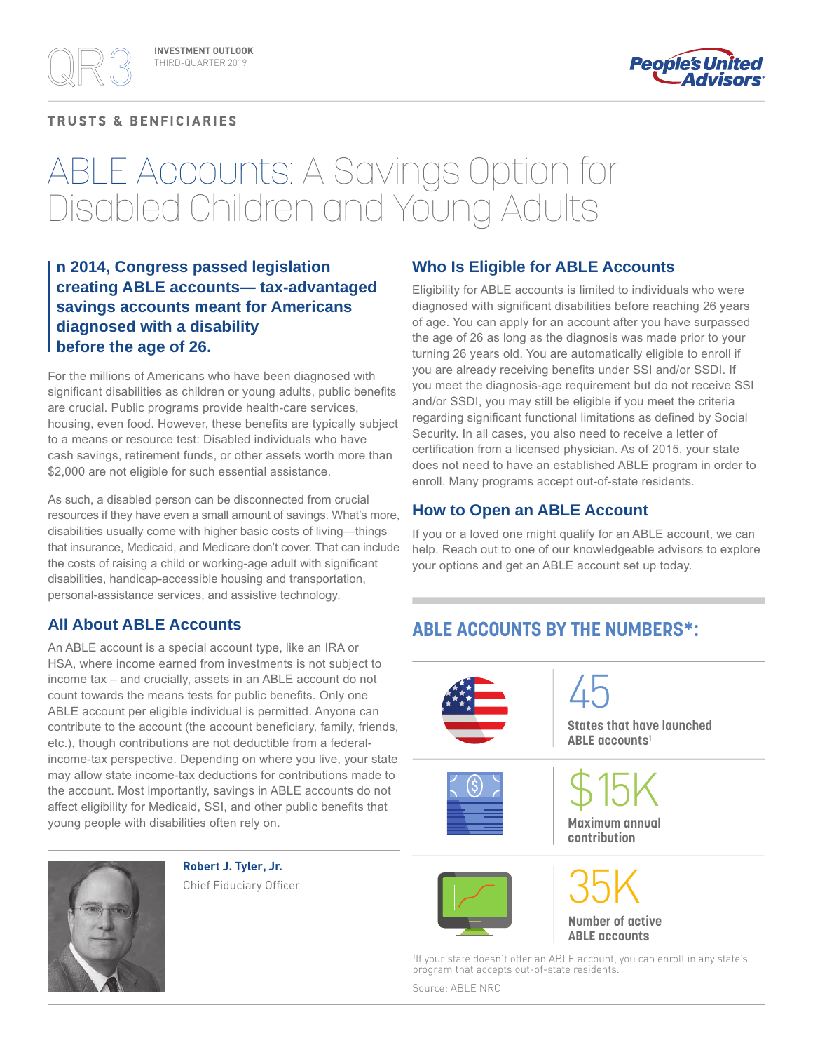### **TRUSTS & BENFICIARIES**



# ABLE Accounts: A Savings Option for Disabled Children and Young Adults

## **n 2014, Congress passed legislation creating ABLE accounts— tax-advantaged savings accounts meant for Americans diagnosed with a disability before the age of 26.**

For the millions of Americans who have been diagnosed with significant disabilities as children or young adults, public benefits are crucial. Public programs provide health-care services, housing, even food. However, these benefits are typically subject to a means or resource test: Disabled individuals who have cash savings, retirement funds, or other assets worth more than \$2,000 are not eligible for such essential assistance.

As such, a disabled person can be disconnected from crucial resources if they have even a small amount of savings. What's more, disabilities usually come with higher basic costs of living—things that insurance, Medicaid, and Medicare don't cover. That can include the costs of raising a child or working-age adult with significant disabilities, handicap-accessible housing and transportation, personal-assistance services, and assistive technology.

## **All About ABLE Accounts**

An ABLE account is a special account type, like an IRA or HSA, where income earned from investments is not subject to income tax – and crucially, assets in an ABLE account do not count towards the means tests for public benefits. Only one ABLE account per eligible individual is permitted. Anyone can contribute to the account (the account beneficiary, family, friends, etc.), though contributions are not deductible from a federalincome-tax perspective. Depending on where you live, your state may allow state income-tax deductions for contributions made to the account. Most importantly, savings in ABLE accounts do not affect eligibility for Medicaid, SSI, and other public benefits that young people with disabilities often rely on.



**Robert J. Tyler, Jr.** Chief Fiduciary Officer

### **Who Is Eligible for ABLE Accounts**

Eligibility for ABLE accounts is limited to individuals who were diagnosed with significant disabilities before reaching 26 years of age. You can apply for an account after you have surpassed the age of 26 as long as the diagnosis was made prior to your turning 26 years old. You are automatically eligible to enroll if you are already receiving benefits under SSI and/or SSDI. If you meet the diagnosis-age requirement but do not receive SSI and/or SSDI, you may still be eligible if you meet the criteria regarding significant functional limitations as defined by Social Security. In all cases, you also need to receive a letter of certification from a licensed physician. As of 2015, your state does not need to have an established ABLE program in order to enroll. Many programs accept out-of-state residents.

## **How to Open an ABLE Account**

If you or a loved one might qualify for an ABLE account, we can help. Reach out to one of our knowledgeable advisors to explore your options and get an ABLE account set up today.

## **ABLE ACCOUNTS BY THE NUMBERS\*:**